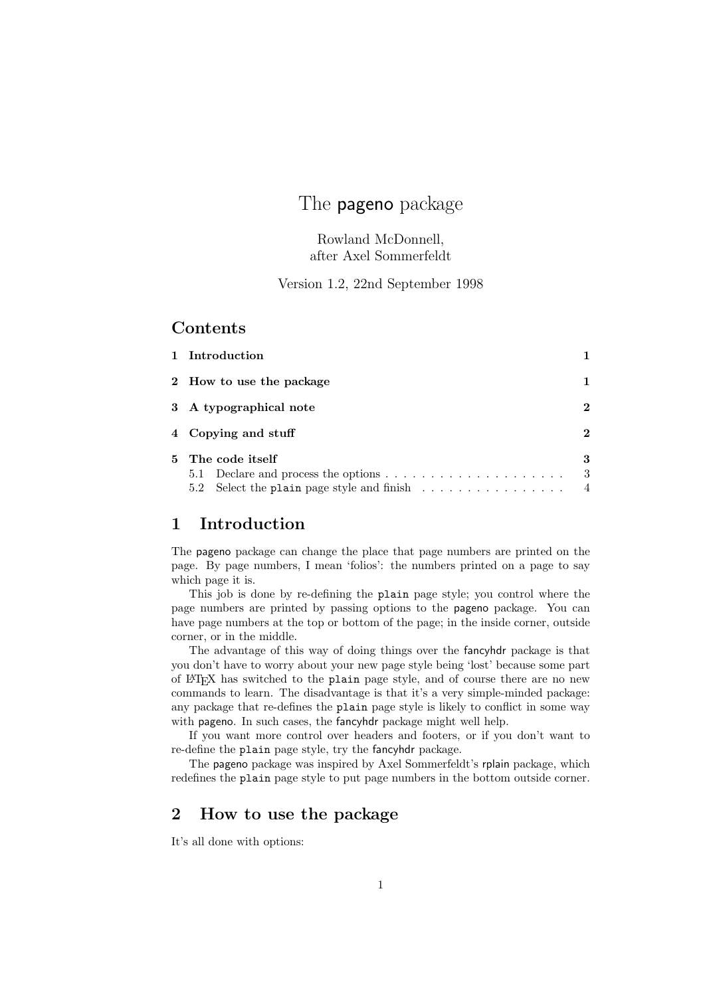# The pageno package

Rowland McDonnell, after Axel Sommerfeldt

Version 1.2, 22nd September 1998

### Contents

| 1 Introduction                                                                  |                |
|---------------------------------------------------------------------------------|----------------|
| 2 How to use the package                                                        |                |
| 3 A typographical note                                                          | 2              |
| 4 Copying and stuff                                                             |                |
| 5 The code itself                                                               | 3<br>3         |
| 5.2 Select the plain page style and finish $\ldots \ldots \ldots \ldots \ldots$ | $\overline{4}$ |

# 1 Introduction

The pageno package can change the place that page numbers are printed on the page. By page numbers, I mean 'folios': the numbers printed on a page to say which page it is.

This job is done by re-defining the plain page style; you control where the page numbers are printed by passing options to the pageno package. You can have page numbers at the top or bottom of the page; in the inside corner, outside corner, or in the middle.

The advantage of this way of doing things over the fancyhdr package is that you don't have to worry about your new page style being 'lost' because some part of LATEX has switched to the plain page style, and of course there are no new commands to learn. The disadvantage is that it's a very simple-minded package: any package that re-defines the plain page style is likely to conflict in some way with pageno. In such cases, the fancyhdr package might well help.

If you want more control over headers and footers, or if you don't want to re-define the plain page style, try the fancyhdr package.

The pageno package was inspired by Axel Sommerfeldt's rplain package, which redefines the plain page style to put page numbers in the bottom outside corner.

# 2 How to use the package

It's all done with options: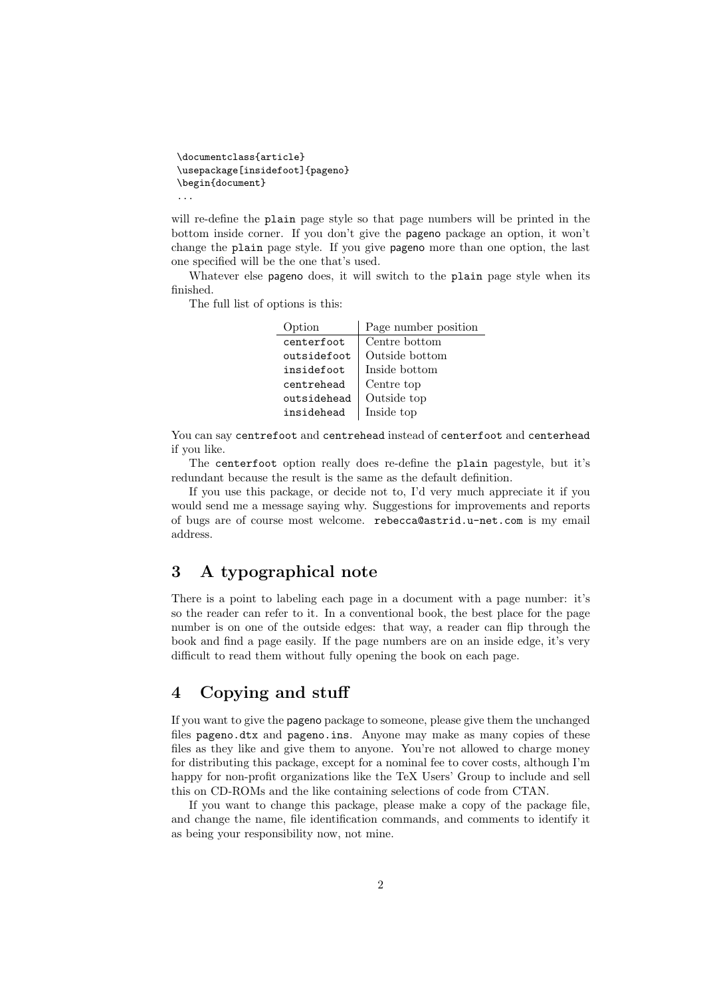```
\documentclass{article}
\usepackage[insidefoot]{pageno}
\begin{document}
...
```
will re-define the plain page style so that page numbers will be printed in the bottom inside corner. If you don't give the pageno package an option, it won't change the plain page style. If you give pageno more than one option, the last one specified will be the one that's used.

Whatever else pageno does, it will switch to the plain page style when its finished.

The full list of options is this:

| Page number position |
|----------------------|
| Centre bottom        |
| Outside bottom       |
| Inside bottom        |
| Centre top           |
| Outside top          |
| Inside top           |
|                      |

You can say centrefoot and centrehead instead of centerfoot and centerhead if you like.

The centerfoot option really does re-define the plain pagestyle, but it's redundant because the result is the same as the default definition.

If you use this package, or decide not to, I'd very much appreciate it if you would send me a message saying why. Suggestions for improvements and reports of bugs are of course most welcome. rebecca@astrid.u-net.com is my email address.

### 3 A typographical note

There is a point to labeling each page in a document with a page number: it's so the reader can refer to it. In a conventional book, the best place for the page number is on one of the outside edges: that way, a reader can flip through the book and find a page easily. If the page numbers are on an inside edge, it's very difficult to read them without fully opening the book on each page.

## 4 Copying and stuff

If you want to give the pageno package to someone, please give them the unchanged files pageno.dtx and pageno.ins. Anyone may make as many copies of these files as they like and give them to anyone. You're not allowed to charge money for distributing this package, except for a nominal fee to cover costs, although I'm happy for non-profit organizations like the TeX Users' Group to include and sell this on CD-ROMs and the like containing selections of code from CTAN.

If you want to change this package, please make a copy of the package file, and change the name, file identification commands, and comments to identify it as being your responsibility now, not mine.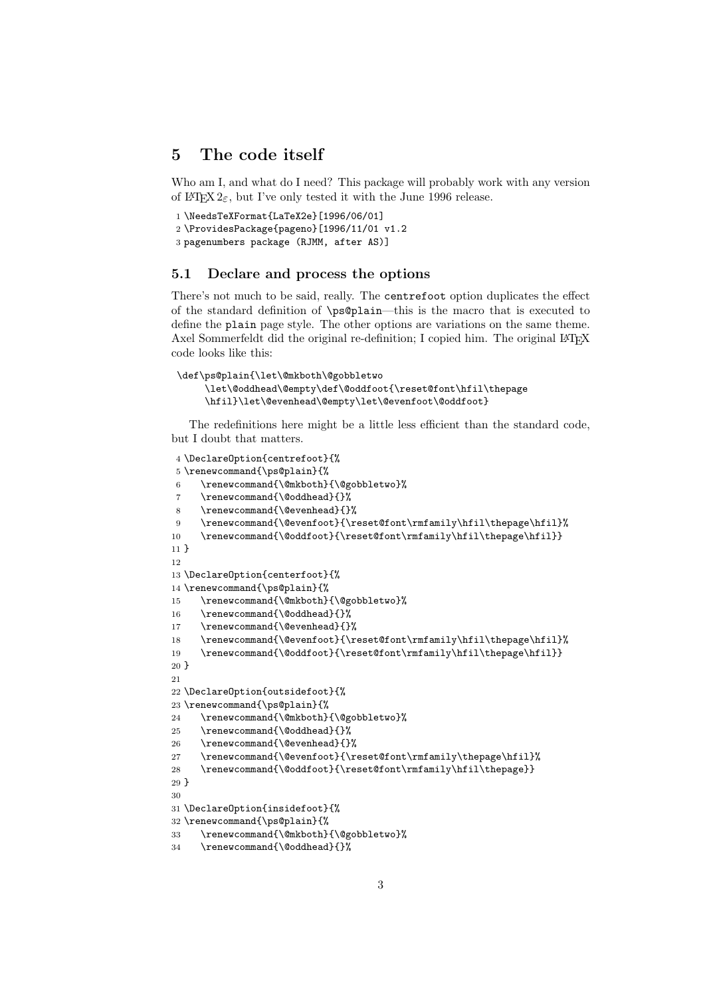## 5 The code itself

Who am I, and what do I need? This package will probably work with any version of LAT<sub>E</sub>X  $2_{\epsilon}$ , but I've only tested it with the June 1996 release.

```
1 \NeedsTeXFormat{LaTeX2e}[1996/06/01]
2 \ProvidesPackage{pageno}[1996/11/01 v1.2
3 pagenumbers package (RJMM, after AS)]
```
#### 5.1 Declare and process the options

There's not much to be said, really. The centrefoot option duplicates the effect of the standard definition of \ps@plain—this is the macro that is executed to define the plain page style. The other options are variations on the same theme. Axel Sommerfeldt did the original re-definition; I copied him. The original LAT<sub>EX</sub> code looks like this:

```
\def\ps@plain{\let\@mkboth\@gobbletwo
     \let\@oddhead\@empty\def\@oddfoot{\reset@font\hfil\thepage
     \hfil}\let\@evenhead\@empty\let\@evenfoot\@oddfoot}
```
The redefinitions here might be a little less efficient than the standard code, but I doubt that matters.

```
4 \DeclareOption{centrefoot}{%
5 \renewcommand{\ps@plain}{%
 6 \renewcommand{\@mkboth}{\@gobbletwo}%
 7 \renewcommand{\@oddhead}{}%
 8 \renewcommand{\@evenhead}{}%
\label{thm:main} $$ \renewcommand{\@evenfoot{\r:}{\r:setfont\rm{amily\hfil\th{h}}\qll}{\r:supp\in\mathbb{R}^m$}$$10 \renewcommand{\@oddfoot}{\reset@font\rmfamily\hfil\thepage\hfil}}
11 }
12
13 \DeclareOption{centerfoot}{%
14 \renewcommand{\ps@plain}{%
15 \renewcommand{\@mkboth}{\@gobbletwo}%
16 \renewcommand{\@oddhead}{}%
17 \renewcommand{\@evenhead}{}%
18 \renewcommand{\@evenfoot}{\reset@font\rmfamily\hfil\thepage\hfil}%
19 \renewcommand{\@oddfoot}{\reset@font\rmfamily\hfil\thepage\hfil}}
20 }
21
22 \DeclareOption{outsidefoot}{%
23 \renewcommand{\ps@plain}{%
24 \renewcommand{\@mkboth}{\@gobbletwo}%
25 \renewcommand{\@oddhead}{}%
26 \renewcommand{\@evenhead}{}%
27 \renewcommand{\@evenfoot}{\reset@font\rmfamily\thepage\hfil}%
28 \renewcommand{\@oddfoot}{\reset@font\rmfamily\hfil\thepage}}
29 }
30
31 \DeclareOption{insidefoot}{%
32 \renewcommand{\ps@plain}{%
33 \renewcommand{\@mkboth}{\@gobbletwo}%
34 \renewcommand{\@oddhead}{}%
```